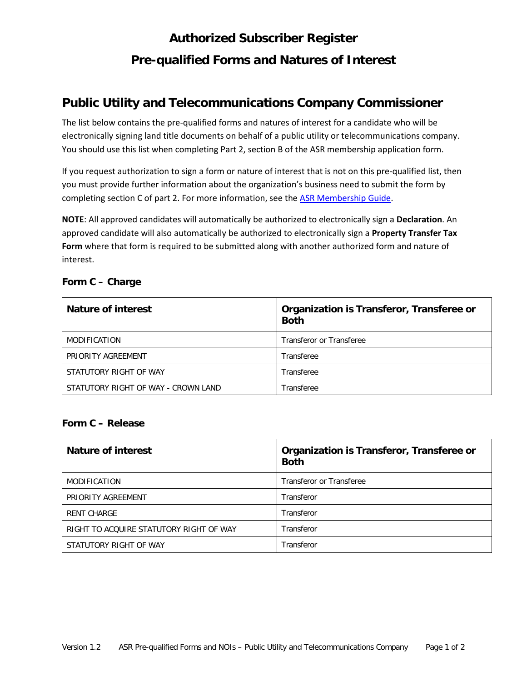# **Authorized Subscriber Register Pre-qualified Forms and Natures of Interest**

## **Public Utility and Telecommunications Company Commissioner**

The list below contains the pre-qualified forms and natures of interest for a candidate who will be electronically signing land title documents on behalf of a public utility or telecommunications company. You should use this list when completing Part 2, section B of the ASR membership application form.

If you request authorization to sign a form or nature of interest that is not on this pre-qualified list, then you must provide further information about the organization's business need to submit the form by completing section C of part 2. For more information, see the [ASR Membership Guide.](http://www.ltsa.ca/docs/ASR-Membership-Guide.pdf)

**NOTE**: All approved candidates will automatically be authorized to electronically sign a **Declaration**. An approved candidate will also automatically be authorized to electronically sign a **Property Transfer Tax Form** where that form is required to be submitted along with another authorized form and nature of interest.

| <b>Nature of interest</b>           | Organization is Transferor, Transferee or<br><b>Both</b> |
|-------------------------------------|----------------------------------------------------------|
| <b>MODIFICATION</b>                 | Transferor or Transferee                                 |
| PRIORITY AGREEMENT                  | Transferee                                               |
| STATUTORY RIGHT OF WAY              | Transferee                                               |
| STATUTORY RIGHT OF WAY - CROWN LAND | Transferee                                               |

#### **Form C – Charge**

#### **Form C – Release**

| Nature of interest                      | Organization is Transferor, Transferee or<br><b>Both</b> |
|-----------------------------------------|----------------------------------------------------------|
| <b>MODIFICATION</b>                     | Transferor or Transferee                                 |
| PRIORITY AGREEMENT                      | Transferor                                               |
| <b>RENT CHARGE</b>                      | Transferor                                               |
| RIGHT TO ACQUIRE STATUTORY RIGHT OF WAY | Transferor                                               |
| STATUTORY RIGHT OF WAY                  | Transferor                                               |